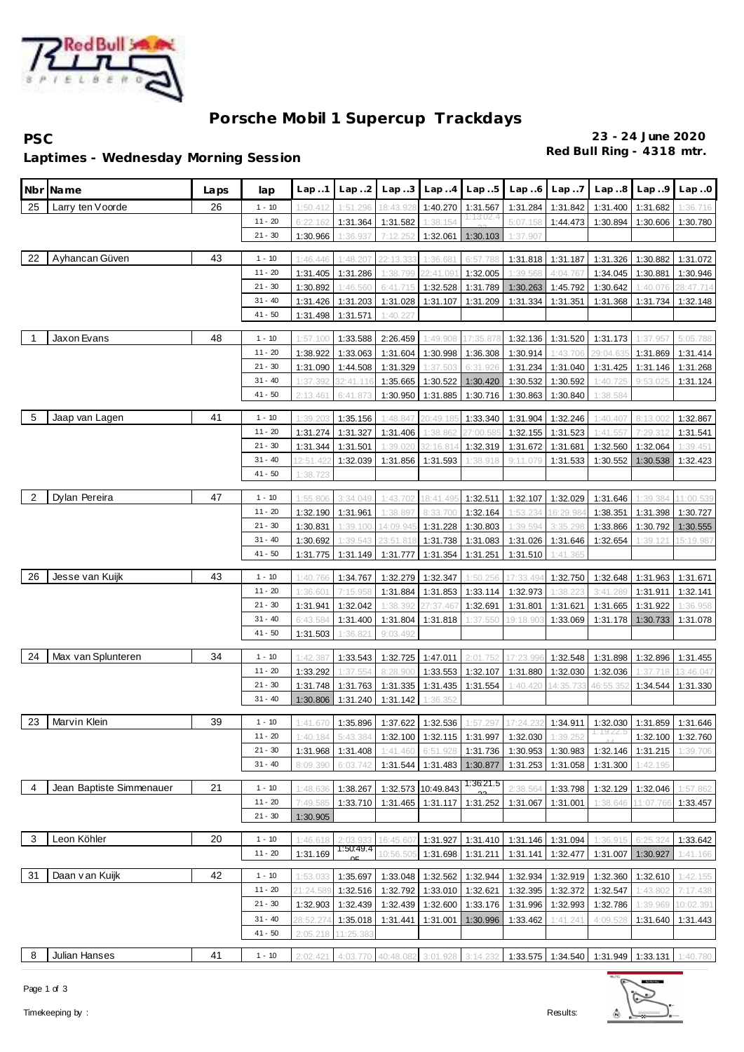

# **Porsche Mobil 1 Supercup Trackdays**

**PSC 23 - 24 June 2020**

## **Red Bull Ring - 4318 mtr. Laptimes - Wednesday Morning Session**

|                | Nbr Name                 | Laps | lap                    | Lap.1                | Lap2                 | Lap.3                                                 | Lap.4                 | Lap.5                                     | Lap.6                | Lap. .7              | Lap.8                                                                          | Lap.9             | Lap.0                |
|----------------|--------------------------|------|------------------------|----------------------|----------------------|-------------------------------------------------------|-----------------------|-------------------------------------------|----------------------|----------------------|--------------------------------------------------------------------------------|-------------------|----------------------|
| 25             | Larry ten Voorde         | 26   | $1 - 10$               | 1:50.412             | 1:51.296             | 18:43.92                                              |                       | 1:40.270 1:31.567                         | 1:31.284             | 1:31.842             |                                                                                | 1:31.400 1:31.682 | 1:36.716             |
|                |                          |      | $11 - 20$              | 6:22.162             | 1:31.364             | 1:31.582                                              | 1:38.154              | 1:13:02.4                                 | 5:07.158             | 1:44.473             | 1:30.894                                                                       | 1:30.606          | 1:30.780             |
|                |                          |      | $21 - 30$              | 1:30.966             | 1:36.937             | 7:12.252                                              | 1:32.061              | 1:30.103                                  | 1:37.907             |                      |                                                                                |                   |                      |
|                |                          |      |                        |                      |                      |                                                       |                       |                                           |                      |                      |                                                                                |                   |                      |
| 22             | Ayhancan Güven           | 43   | $1 - 10$               | 1:46.446             | 1:48.207             | 22:13.33                                              | 1:36.68               | 6:57.78                                   | 1:31.818             | 1:31.187             | 1:31.326                                                                       | 1:30.882          | 1:31.072             |
|                |                          |      | $11 - 20$              | 1:31.405             | 1:31.286             | 1:38.799                                              | 22:41.091             | 1:32.005                                  | 1:39.568             | 4:04.767             | 1:34.045                                                                       | 1:30.881          | 1:30.946             |
|                |                          |      | $21 - 30$              | 1:30.892             | 1:46.560             | 6:41.715                                              | 1:32.528              | 1:31.789                                  | 1:30.263             | 1:45.792             | 1:30.642                                                                       | 1:40.076          | 28:47.714            |
|                |                          |      | $31 - 40$<br>$41 - 50$ | 1:31.426             | 1:31.203             | 1:31.028                                              | 1:31.107              | 1:31.209                                  | 1:31.334             | 1:31.351             | 1:31.368                                                                       | 1:31.734          | 1:32.148             |
|                |                          |      |                        | 1:31.498             | 1:31.571             | 1:40.22                                               |                       |                                           |                      |                      |                                                                                |                   |                      |
| $\overline{1}$ | Jaxon Evans              | 48   | $1 - 10$               | 1:57.100             | 1:33.588             | 2:26.459                                              | 1:49.908              | 17:35.87                                  | 1:32.136             | 1:31.520             | 1:31.173                                                                       | 1:37.957          | 5:05.788             |
|                |                          |      | $11 - 20$              | 1:38.922             | 1:33.063             | 1:31.604                                              | 1:30.998              | 1:36.308                                  | 1:30.914             | 1:43.706             | 29:04.63                                                                       | 1:31.869          | 1:31.414             |
|                |                          |      | $21 - 30$              | 1:31.090             | 1:44.508             | 1:31.329                                              | 1:37.503              | 6:31.926                                  | 1:31.234             | 1:31.040             | 1:31.425                                                                       | 1:31.146          | 1:31.268             |
|                |                          |      | $31 - 40$              | 1:37.392             | 32:41.116            | 1:35.665                                              | 1:30.522              | 1:30.420                                  | 1:30.532             | 1:30.592             | 1:40.725                                                                       | 9:53.02           | 1:31.124             |
|                |                          |      | $41 - 50$              | 2:13.461             | 6:41.873             | 1:30.950                                              | 1:31.885              | 1:30.716                                  | 1:30.863             | 1:30.840             | 1:38.584                                                                       |                   |                      |
| -5             |                          | 41   |                        |                      |                      |                                                       |                       |                                           |                      |                      |                                                                                |                   |                      |
|                | Jaap van Lagen           |      | $1 - 10$<br>$11 - 20$  | 1:39.20              | 1:35.156             | 1:48.847                                              | 20:49.18              | 1:33.340                                  | 1:31.904             | 1:32.246             | 1:40.407                                                                       | 8:13.00           | 1:32.867             |
|                |                          |      | $21 - 30$              | 1:31.274             | 1:31.327             | 1:31.406                                              | 1:38.862              | 27:00.58                                  | 1:32.155             | 1:31.523             | 1:41.557                                                                       | 7:29.312          | 1:31.541             |
|                |                          |      | $31 - 40$              | 1:31.344<br>12:51.42 | 1:31.501<br>1:32.039 | 1:39.020<br>1:31.856                                  | 32:16.814<br>1:31.593 | 1:32.319<br>1:38.918                      | 1:31.672<br>9:11.079 | 1:31.681<br>1:31.533 | 1:32.560<br>1:30.552                                                           | 1:32.064          | 1:39.451<br>1:32.423 |
|                |                          |      | $41 - 50$              | 1:38.723             |                      |                                                       |                       |                                           |                      |                      |                                                                                | 1:30.538          |                      |
|                |                          |      |                        |                      |                      |                                                       |                       |                                           |                      |                      |                                                                                |                   |                      |
| $\overline{2}$ | Dylan Pereira            | 47   | $1 - 10$               | 1:55.806             | 3:34.049             | 1:43.702                                              | 18:41.495             | 1:32.511                                  | 1:32.107             | 1:32.029             | 1:31.646                                                                       | 1:39.384          | 11:00.539            |
|                |                          |      | $11 - 20$              | 1:32.190             | 1:31.961             | 1:38.897                                              | 8:33.700              | 1:32.164                                  | 1:53.234             | 16:29.98             | 1:38.351                                                                       | 1:31.398          | 1:30.727             |
|                |                          |      | $21 - 30$              | 1:30.831             | 1:39.100             | 14:09.94                                              | 1:31.228              | 1:30.803                                  | 1:39.594             | 3:35.298             | 1:33.866                                                                       | 1:30.792          | 1:30.555             |
|                |                          |      | $31 - 40$              | 1:30.692             | 1:39.543             | 23:51.81                                              | 1:31.738              | 1:31.083                                  | 1:31.026             | 1:31.646             | 1:32.654                                                                       | 1:39.121          | 15:19.987            |
|                |                          |      | $41 - 50$              | 1:31.775             | 1:31.149             | 1:31.777                                              | 1:31.354              | 1:31.251                                  | 1:31.510             | 1:41.365             |                                                                                |                   |                      |
| 26             | Jesse van Kuijk          | 43   | $1 - 10$               | 1:40.766             | 1:34.767             | 1:32.279                                              | 1:32.347              | 1:50.256                                  | 17:33.494            | 1:32.750             | 1:32.648                                                                       | 1:31.963          | 1:31.671             |
|                |                          |      | $11 - 20$              | 1:36.601             | 7:15.958             | 1:31.884                                              | 1:31.853              | 1:33.114                                  | 1:32.973             | 1:38.223             | 3:41.289                                                                       | 1:31.911          | 1:32.141             |
|                |                          |      | $21 - 30$              | 1:31.941             | 1:32.042             | 1:38.392                                              | 27:37.46              | 1:32.691                                  | 1:31.801             | 1:31.621             | 1:31.665                                                                       | 1:31.922          | 1:36.958             |
|                |                          |      | $31 - 40$              | 6:43.584             | 1:31.400             | 1:31.804                                              | 1:31.818              | 1:37.55                                   | 19:18.903            | 1:33.069             |                                                                                | 1:31.178 1:30.733 | 1:31.078             |
|                |                          |      | $41 - 50$              | 1:31.503             | 1:36.821             | 9:03.492                                              |                       |                                           |                      |                      |                                                                                |                   |                      |
|                |                          |      |                        |                      |                      |                                                       |                       |                                           |                      |                      |                                                                                |                   |                      |
| 24             | Max van Splunteren       | 34   | $1 - 10$               | 1:42.387             | 1:33.543             | 1:32.725                                              | 1:47.011              | 2:01.752                                  | 17:23.996            | 1:32.548             | 1:31.898                                                                       | 1:32.896          | 1:31.455             |
|                |                          |      | $11 - 20$              | 1:33.292             | 1:37.554             | 8:28.900                                              | 1:33.553              | 1:32.107                                  | 1:31.880             | 1:32.030             | 1:32.036                                                                       | 1:37.718          | 13:46.047            |
|                |                          |      | $21 - 30$              | 1:31.748             | 1:31.763             | 1:31.335                                              | 1:31.435              | 1:31.554                                  | 1:40.420             | 14:35.733            | 46:55.35                                                                       | 1:34.544          | 1:31.330             |
|                |                          |      | $31 - 40$              | 1:30.806             | 1:31.240             | 1:31.142                                              | 1:36.352              |                                           |                      |                      |                                                                                |                   |                      |
| 23             | Marvin Klein             | 39   | $1 - 10$               | 1:41.670             | 1:35.896             | 1:37.622                                              | 1:32.536              | 1:57.297                                  | 17:24.232            | 1:34.911             | 1:32.030                                                                       | 1:31.859          | 1:31.646             |
|                |                          |      | 11 - 20                |                      |                      | 1:40.184 5:43.384 1:32.100 1:32.115 1:31.997 1:32.030 |                       |                                           |                      | 1:39.252             |                                                                                |                   | 1:32.100 1:32.760    |
|                |                          |      | $21 - 30$              | 1:31.968             |                      |                                                       |                       |                                           |                      |                      | $\mid$ 1:31.408 1:41.460 6:51.928 1:31.736 1:30.953 1:30.983 1:32.146 1:31.215 |                   | 1:39.706             |
|                |                          |      | $31 - 40$              | 8:09.390             | 6:03.742             |                                                       |                       |                                           |                      |                      | 1:31.544   1:31.483   1:30.877   1:31.253   1:31.058   1:31.300                | 1:42.195          |                      |
|                |                          |      |                        |                      |                      |                                                       |                       | 1:36.21.5                                 |                      |                      |                                                                                |                   |                      |
| $\overline{4}$ | Jean Baptiste Simmenauer | 21   | $1 - 10$               | 1:48.636             | 1:38.267             |                                                       | 1:32.573 10:49.843    |                                           | 2:38.564             | 1:33.798             |                                                                                | 1:32.129 1:32.046 | 1:57.862             |
|                |                          |      | $11 - 20$              | 7:49.585             |                      | 1:33.710   1:31.465   1:31.117   1:31.252             |                       |                                           | 1:31.067             | 1:31.001             | 1:38.646                                                                       | 11:07.766         | 1:33.457             |
|                |                          |      | $21 - 30$              | 1:30.905             |                      |                                                       |                       |                                           |                      |                      |                                                                                |                   |                      |
| 3              | Leon Köhler              | 20   | $1 - 10$               | 1:46.618             | 2:03.933             | 16:45.607                                             |                       | 1:31.927   1:31.410   1:31.146   1:31.094 |                      |                      | 1:36.915                                                                       | 6:25.324          | 1:33.642             |
|                |                          |      | $11 - 20$              | 1:31.169             | 1:50:49.4            | 10:56.50                                              |                       | 1:31.698 1:31.211                         | 1:31.141             | 1:32.477             |                                                                                | 1:31.007 1:30.927 | 1:41.166             |
|                |                          |      |                        |                      |                      |                                                       |                       |                                           |                      |                      |                                                                                |                   |                      |
| 31             | Daan van Kuijk           | 42   | $1 - 10$               | 1:53.033             | 1:35.697             |                                                       |                       | 1:33.048 1:32.562 1:32.944                | 1:32.934             | 1:32.919             |                                                                                | 1:32.360 1:32.610 | 1:42.155             |
|                |                          |      | $11 - 20$              | 21:24.589            |                      | 1:32.516 1:32.792 1:33.010 1:32.621                   |                       |                                           | 1:32.395             | 1:32.372             | 1:32.547                                                                       | 1:43.802          | 7:17.438             |
|                |                          |      | $21 - 30$              | 1:32.903             |                      | 1:32.439 1:32.439 1:32.600 1:33.176                   |                       |                                           | 1:31.996             | 1:32.993             | 1:32.786                                                                       | 1:39.969          | 10:02.391            |
|                |                          |      | $31 - 40$              | 28:52.274            | 1:35.018             |                                                       |                       | 1:31.441 1:31.001 1:30.996                | 1:33.462             | 1:41.241             | 4:09.528                                                                       | 1:31.640          | 1:31.443             |
|                |                          |      | $41 - 50$              | 2:05.218             | 11:25.383            |                                                       |                       |                                           |                      |                      |                                                                                |                   |                      |
| 8              | Julian Hanses            | 41   | $1 - 10$               | 2:02.421             | 4:03.770             | 40:48.082                                             |                       |                                           |                      |                      | $3:01.928$ 3:14.232 1:33.575 1:34.540 1:31.949 1:33.131 1:40.780               |                   |                      |

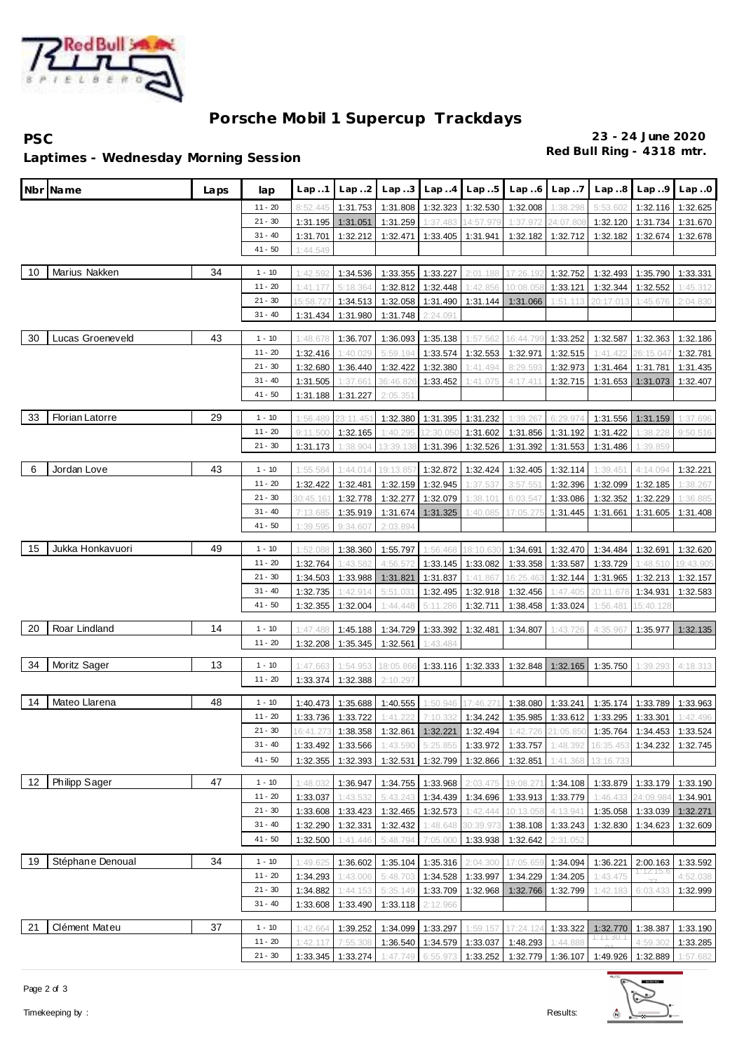

# **Porsche Mobil 1 Supercup Trackdays**

**PSC 23 - 24 June 2020**

## **Red Bull Ring - 4318 mtr. Laptimes - Wednesday Morning Session**

|    | Nbr¶Name               | Laps | lap                    | Lap.1                | Lap.2               | Lap.3                | Lap.4                | Lap5                 | Lap.6                                                            | Lap.7                | Lap.8                | Lap.9                      | Lap.0                 |
|----|------------------------|------|------------------------|----------------------|---------------------|----------------------|----------------------|----------------------|------------------------------------------------------------------|----------------------|----------------------|----------------------------|-----------------------|
|    |                        |      | $11 - 20$              | 8:52.445             | 1:31.753            | 1:31.808             | 1:32.323             | 1:32.530             | 1:32.008                                                         | 1:38.298             | 5:53.602             | 1:32.116                   | 1:32.625              |
|    |                        |      | $21 - 30$              | 1:31.195             | 1:31.051            | 1:31.259             | 1:37.483             | 14:57.979            | 1:37.972                                                         | 24:07.808            | 1:32.120             | 1:31.734                   | 1:31.670              |
|    |                        |      | $31 - 40$              | 1:31.701             | 1:32.212            | 1:32.471             | 1:33.405             | 1:31.941             | 1:32.182                                                         | 1:32.712             | 1:32.182             | 1:32.674                   | 1:32.678              |
|    |                        |      | $41 - 50$              | 1:44.549             |                     |                      |                      |                      |                                                                  |                      |                      |                            |                       |
|    |                        |      |                        |                      |                     |                      |                      |                      |                                                                  |                      |                      |                            |                       |
| 10 | Marius Nakken          | 34   | $1 - 10$               | 1:42.592             | 1:34.536            | 1:33.355             | 1:33.227             | 2:01.188             | 17:26.192                                                        | 1:32.752             | 1:32.493             | 1:35.790                   | 1:33.331              |
|    |                        |      | $11 - 20$              | 1:41.177             | 5:18.364            | 1:32.812             | 1:32.448             | 1:42.856             | 10:08.058                                                        | 1:33.121             | 1:32.344             | 1:32.552                   | 1:45.312              |
|    |                        |      | $21 - 30$<br>$31 - 40$ | 15:58.72             | 1:34.513            | 1:32.058             | 1:31.490             | 1:31.144             | 1:31.066                                                         | 1:51.113             | 20:17.01             | 1:45.676                   | 2:04.830              |
|    |                        |      |                        | 1:31.434             | 1:31.980            | 1:31.748             | 2:24.091             |                      |                                                                  |                      |                      |                            |                       |
| 30 | Lucas Groeneveld       | 43   | $1 - 10$               | 1:48.678             | 1:36.707            | 1:36.093             | 1:35.138             | 1:57.562             | 16:44.79                                                         | 1:33.252             | 1:32.587             | 1:32.363                   | 1:32.186              |
|    |                        |      | $11 - 20$              | 1:32.416             | 1:40.029            | 5:59.194             | 1:33.574             | 1:32.553             | 1:32.971                                                         | 1:32.515             | 1:41.422             | 26:15.047                  | 1:32.781              |
|    |                        |      | $21 - 30$              | 1:32.680             | 1:36.440            | 1:32.422             | 1:32.380             | 1:41.494             | 8:29.593                                                         | 1:32.973             | 1:31.464             | 1:31.781                   | 1:31.435              |
|    |                        |      | $31 - 40$              | 1:31.505             | 1:37.661            | 36:46.826            | 1:33.452             | 1:41.07              | 4:17.411                                                         | 1:32.715             | 1:31.653             | 1:31.073                   | 1:32.407              |
|    |                        |      | $41 - 50$              | 1:31.188             | 1:31.227            | 2:05.351             |                      |                      |                                                                  |                      |                      |                            |                       |
| 33 | <b>Florian Latorre</b> | 29   |                        |                      |                     |                      |                      |                      |                                                                  |                      |                      |                            |                       |
|    |                        |      | $1 - 10$<br>$11 - 20$  | 1:56.489             | 23:11.451           | 1:32.380             | 1:31.395             | 1:31.232             | 1:39.267                                                         | 6:29.974             | 1:31.556<br>1:31.422 | 1:31.159                   | 1:37.696              |
|    |                        |      | $21 - 30$              | 9:11.500             | 1:32.165            | 1:40.295             | 12:30.050            | 1:31.602             | 1:31.856<br>1:31.392                                             | 1:31.192             |                      | 1:38.228                   | 9:50.516              |
|    |                        |      |                        | 1:31.173             | 1:38.904            | 13:39.138            | 1:31.396             | 1:32.526             |                                                                  | 1:31.553             | 1:31.486             | 1:39.859                   |                       |
| 6  | Jordan Love            | 43   | $1 - 10$               | 1:55.584             | 1:44.014            | 19:13.85             | 1:32.872             | 1:32.424             | 1:32.405                                                         | 1:32.114             | 1:39.451             | 4:14.094                   | 1:32.221              |
|    |                        |      | $11 - 20$              | 1:32.422             | 1:32.481            | 1:32.159             | 1:32.945             | 1:37.537             | 3:57.551                                                         | 1:32.396             | 1:32.099             | 1:32.185                   | 1:38.267              |
|    |                        |      | $21 - 30$              | 30:45.16             | 1:32.778            | 1:32.277             | 1:32.079             | 1:38.101             | 6:03.547                                                         | 1:33.086             | 1:32.352             | 1:32.229                   | 1:36.885              |
|    |                        |      | $31 - 40$              | 7:13.685             | 1:35.919            | 1:31.674             | 1:31.325             | 1:40.085             | 17:05.275                                                        | 1:31.445             | 1:31.661             | 1:31.605                   | 1:31.408              |
|    |                        |      | $41 - 50$              | 1:39.595             | 9:34.607            | 2:03.894             |                      |                      |                                                                  |                      |                      |                            |                       |
|    | Jukka Honkavuori       |      |                        |                      |                     |                      |                      |                      |                                                                  |                      |                      |                            |                       |
| 15 |                        | 49   | $1 - 10$<br>$11 - 20$  | 1:52.088             | 1:38.360<br>1:43.58 | 1:55.797             | 1:56.468             | 18:10.630            | 1:34.691                                                         | 1:32.470             | 1:34.484             | 1:32.691                   | 1:32.620              |
|    |                        |      | $21 - 30$              | 1:32.764<br>1:34.503 | 1:33.988            | 4:56.572             | 1:33.145<br>1:31.837 | 1:33.082             | 1:33.358                                                         | 1:33.587<br>1:32.144 | 1:33.729<br>1:31.965 | 1:48.510<br>1:32.213       | 19:43.905<br>1:32.157 |
|    |                        |      | $31 - 40$              | 1:32.735             | 1:42.914            | 1:31.821<br>5:51.031 | 1:32.495             | 1:41.867<br>1:32.918 | 16:25.463<br>1:32.456                                            | 1:47.405             | 20:11.67             | 1:34.931                   | 1:32.583              |
|    |                        |      | $41 - 50$              | 1:32.355             | 1:32.004            | 1:44.448             | 5:11.286             | 1:32.711             | 1:38.458                                                         | 1:33.024             | 1:56.481             | 15:40.128                  |                       |
|    |                        |      |                        |                      |                     |                      |                      |                      |                                                                  |                      |                      |                            |                       |
| 20 | Roar Lindland          | 14   | $1 - 10$               | 1:47.488             | 1:45.188            | 1:34.729             | 1:33.392             | 1:32.481             | 1:34.807                                                         | 1:43.726             | 4:35.967             | 1:35.977                   | 1:32.135              |
|    |                        |      | $11 - 20$              | 1:32.208             | 1:35.345            | 1:32.561             | 1:43.484             |                      |                                                                  |                      |                      |                            |                       |
| 34 | Moritz Sager           | 13   | $1 - 10$               | 1:47.663             | 1:54.95             | 18:05.86             | 1:33.116             | 1:32.333             | 1:32.848                                                         | 1:32.165             | 1:35.750             | 1:39.293                   | 4:18.313              |
|    |                        |      | $11 - 20$              | 1:33.374             | 1:32.388            | 2:10.297             |                      |                      |                                                                  |                      |                      |                            |                       |
|    |                        |      |                        |                      |                     |                      |                      |                      |                                                                  |                      |                      |                            |                       |
| 14 | Mateo Llarena          | 48   | $1 - 10$               | 1:40.473             | 1:35.688            | 1:40.555             | 1:50.946             | 17:46.27             | 1:38.080                                                         | 1:33.241             | 1:35.174             | 1:33.789                   | 1:33.963              |
|    |                        |      | $11 - 20$              |                      | 1:33.736 1:33.722   | 1:41.222             | 7:10.332             | 1:34.242             | 1:35.985                                                         | 1:33.612             | 1:33.295             | 1:33.301                   | 1:42.496              |
|    |                        |      | $21 - 30$              |                      |                     |                      |                      |                      | 16:41.273 1:38.358 1:32.861 1:32.221 1:32.494 1:42.726 21:05.850 |                      |                      | 1:35.764 1:34.453 1:33.524 |                       |
|    |                        |      | $31 - 40$              | 1:33.492             | 1:33.566            | 1:43.590             | 5:25.855             | 1:33.972             | 1:33.757                                                         | 1:48.392             | 16:35.453            | 1:34.232                   | 1:32.745              |
|    |                        |      | $41 - 50$              | 1:32.355             | 1:32.393            | 1:32.531             | 1:32.799             | 1:32.866             | 1:32.851                                                         | 1:41.368             | 13:16.73             |                            |                       |
| 12 | Philipp Sager          | 47   | $1 - 10$               | 1:48.032             | 1:36.947            | 1:34.755             | 1:33.968             | 2:03.475             | 19:08.271                                                        | 1:34.108             | 1:33.879             | 1:33.179                   | 1:33.190              |
|    |                        |      | $11 - 20$              | 1:33.037             | 1:43.532            | 5:43.243             | 1:34.439             | 1:34.696             | 1:33.913                                                         | 1:33.779             | 1:46.433             | 24:09.984                  | 1:34.901              |
|    |                        |      | $21 - 30$              | 1:33.608             | 1:33.423            | 1:32.465             | 1:32.573             | 1:42.444             | 10:13.058                                                        | 4:13.941             | 1:35.058             | 1:33.039                   | 1:32.271              |
|    |                        |      | $31 - 40$              | 1:32.290             | 1:32.331            | 1:32.432             | 1:48.648             | 30:39.973            | 1:38.108                                                         | 1:33.243             | 1:32.830             | 1:34.623                   | 1:32.609              |
|    |                        |      | $41 - 50$              | 1:32.500             | 1:41.446            | 5:48.794             | 7:05.000             | 1:33.938             | 1:32.642                                                         | 2:31.052             |                      |                            |                       |
|    |                        |      |                        |                      |                     |                      |                      |                      |                                                                  |                      |                      |                            |                       |
| 19 | Stéphane Denoual       | 34   | $1 - 10$               | 1:49.625             | 1:36.602            | 1:35.104             | 1:35.316             | 2:04.300             | 17:05.659                                                        | 1:34.094             | 1:36.221             | 2:00.163                   | 1:33.592              |
|    |                        |      | $11 - 20$              | 1:34.293             | 1:43.006            | 5:48.703             |                      | 1:34.528 1:33.997    | 1:34.229                                                         | 1:34.205             | 1:43.475             | 1:12:15.6                  | 4:52.038              |
|    |                        |      | $21 - 30$              | 1:34.882             | 1:44.153            | 5:35.149             |                      | 1:33.709 1:32.968    | 1:32.766                                                         | 1:32.799             | 1:42.183             | 6:03.433                   | 1:32.999              |
|    |                        |      | $31 - 40$              | 1:33.608             | 1:33.490            | 1:33.118             | 2:12.966             |                      |                                                                  |                      |                      |                            |                       |
| 21 | Clément Mateu          | 37   | $1 - 10$               | 1:42.664             | 1:39.252            | 1:34.099             | 1:33.297             | 1:59.157             | 17:24.124                                                        | 1:33.322             | 1:32.770             | 1:38.387                   | 1:33.190              |
|    |                        |      | $11 - 20$              | 1:42.117             | 7:55.308            | 1:36.540             | 1:34.579 1:33.037    |                      | 1:48.293                                                         | 1:44.888             | 1:11:30.1            | 4:59.302                   | 1:33.285              |
|    |                        |      | $21 - 30$              |                      | 1:33.345 1:33.274   | 1:47.749             | 6:55.973             | 1:33.252             | 1:32.779 1:36.107                                                |                      | 1:49.926             | 1:32.889                   | 1:57.682              |
|    |                        |      |                        |                      |                     |                      |                      |                      |                                                                  |                      |                      |                            |                       |



Timekeeping by : Results: